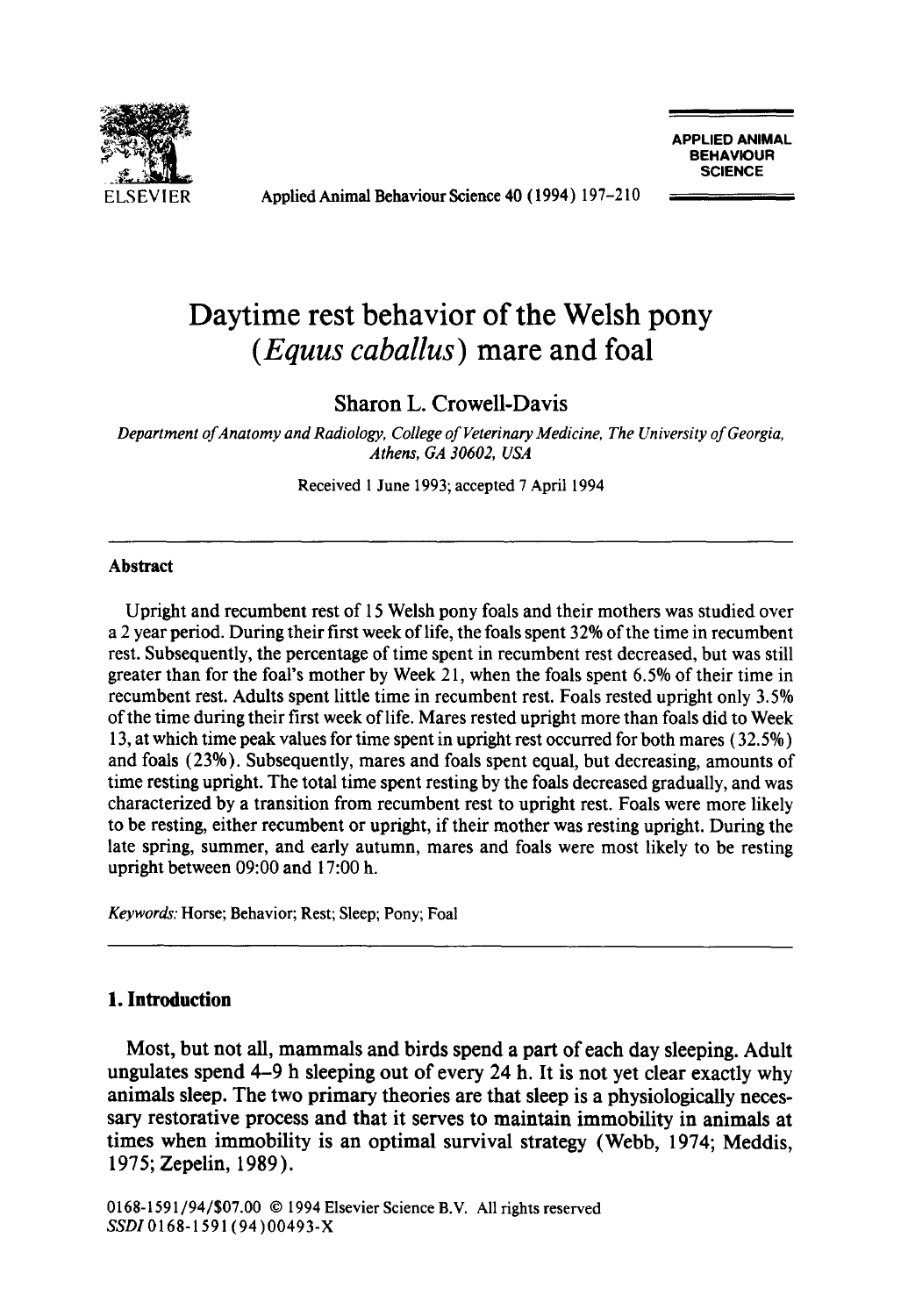

Applied Animal Behaviour Science 40 (1994) 197-210

**APPLIED ANIMAL BEHAVIOUR SCIENCE** 

# **Daytime rest behavior of the Welsh pony**  *(Equus caballus)* **mare and foal**

Sharon L. Crowell-Davis

*Department of Anatomy and Radiology, College of Veterinary Medicine, The University of Georgia, Athens, GA 30602, USA* 

Received 1 June 1993; accepted 7 April 1994

#### **Abstract**

Upright and recumbent rest of 15 Welsh pony foals and their mothers was studied over a 2 year period. During their first week of life, the foals spent 32% of the time in recumbent rest. Subsequently, the percentage of time spent in recumbent rest decreased, but was still greater than for the foal's mother by Week 2 l, when the foals spent 6.5% of their time in recumbent rest. Adults spent little time in recumbent rest. Foals rested upright only 3.5% of the time during their first week of life. Mares rested upright more than foals did to Week 13, at which time peak values for time spent in upright rest occurred for both mares (32.5%) and foals (23%). Subsequently, mares and foals spent equal, but decreasing, amounts of time resting upright. The total time spent resting by the foals decreased gradually, and was characterized by a transition from recumbent rest to upright rest. Foals were more likely to be resting, either recumbent or upright, if their mother was resting upright. During the late spring, summer, and early autumn, mares and foals were most likely to be resting upright between 09:00 and 17:00 h.

*Keywords:* Horse; Behavior; Rest; Sleep; Pony; Foal

#### **1. Introduction**

Most, but not all, mammals and birds spend a part of each day sleeping. Adult ungulates spend 4-9 h sleeping out of every 24 h. It is not yet clear exactly why animals sleep. The two primary theories are that sleep is a physiologically necessary restorative process and that it serves to maintain immobility in animals at times when immobility is an optimal survival strategy (Webb, 1974; Meddis, 1975; Zepelin, 1989).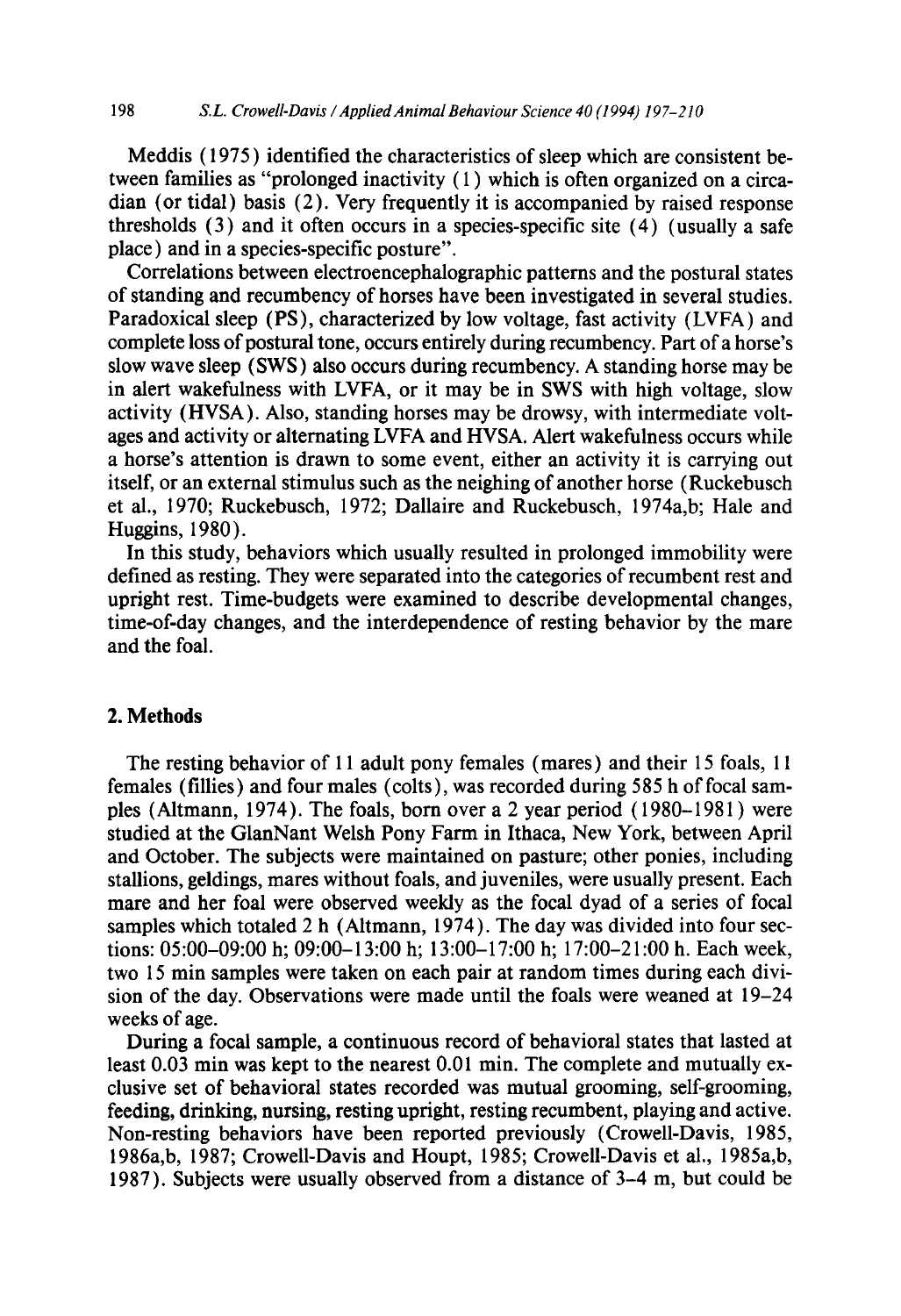Meddis ( 1975 ) identified the characteristics of sleep which are consistent between families as "prolonged inactivity ( 1 ) which is often organized on a circadian (or tidal) basis (2). Very frequently it is accompanied by raised response thresholds (3) and it often occurs in a species-specific site (4) (usually a safe place) and in a species-specific posture".

Correlations between electroencephalographic patterns and the postural states of standing and recumbency of horses have been investigated in several studies. Paradoxical sleep (PS), characterized by low voltage, fast activity (LVFA) and complete loss of postural tone, occurs entirely during recumbency. Part of a horse's slow wave sleep (SWS) also occurs during recumbency. A standing horse may be in alert wakefulness with LVFA, or it may be in SWS with high voltage, slow activity (HVSA). Also, standing horses may be drowsy, with intermediate voltages and activity or alternating LVFA and HVSA. Alert wakefulness occurs while a horse's attention is drawn to some event, either an activity it is carrying out itself, or an external stimulus such as the neighing of another horse (Ruckebusch et al., 1970; Ruckebusch, 1972; Dallaire and Ruckebusch, 1974a,b; Hale and Huggins, 1980).

In this study, behaviors which usually resulted in prolonged immobility were defined as resting. They were separated into the categories of recumbent rest and upright rest. Time-budgets were examined to describe developmental changes, time-of-day changes, and the interdependence of resting behavior by the mare and the foal.

#### **2. Methods**

The resting behavior of 11 adult pony females (mares) and their 15 foals, 11 females (fillies) and four males (colts), was recorded during 585 h of focal samples (Altmann, 1974). The foals, born over a 2 year period ( 1980-1981 ) were studied at the GlanNant Welsh Pony Farm in Ithaca, New York, between April and October. The subjects were maintained on pasture; other ponies, including stallions, geldings, mares without foals, and juveniles, were usually present. Each mare and her foal were observed weekly as the focal dyad of a series of focal samples which totaled  $2 h$  (Altmann, 1974). The day was divided into four sections: 05:00-09:00 h; 09:00-13:00 h; 13:00-17:00 h; 17:00-21:00 h. Each week, two 15 min samples were taken on each pair at random times during each division of the day. Observations were made until the foals were weaned at 19-24 weeks of age.

During a focal sample, a continuous record of behavioral states that lasted at least 0.03 min was kept to the nearest 0.01 min. The complete and mutually exclusive set of behavioral states recorded was mutual grooming, self-grooming, feeding, drinking, nursing, resting upright, resting recumbent, playing and active. Non-resting behaviors have been reported previously (Crowell-Davis, 1985, 1986a,b, 1987; Crowell-Davis and Houpt, 1985; Crowell-Davis et al., 1985a,b, 1987). Subjects were usually observed from a distance of 3-4 m, but could be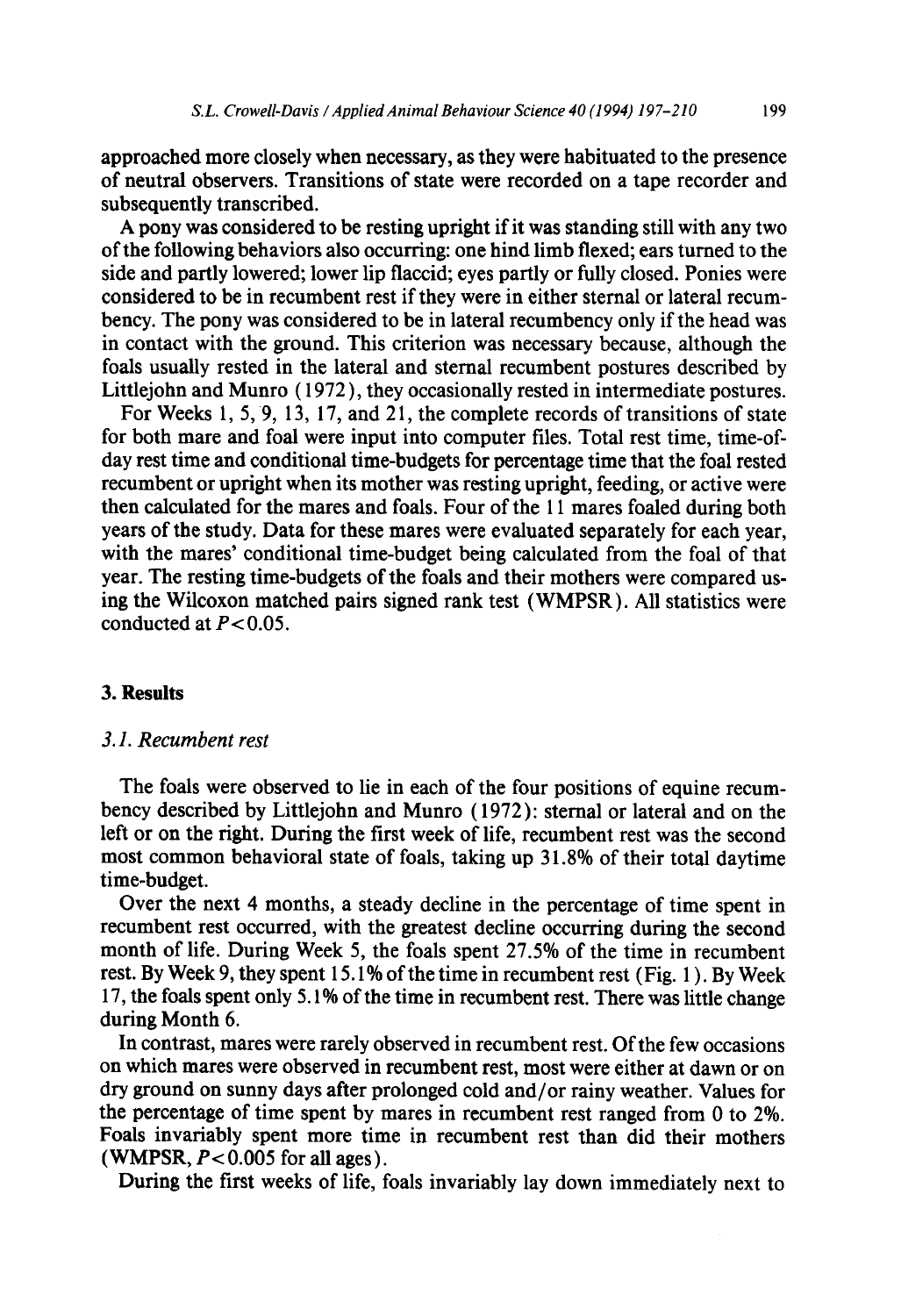approached more closely when necessary, as they were habituated to the presence of neutral observers. Transitions of state were recorded on a tape recorder and subsequently transcribed.

A pony was considered to be resting upright if it was standing still with any two of the following behaviors also occurring: one hind limb flexed; ears turned to the side and partly lowered; lower lip flaccid; eyes partly or fully closed. Ponies were considered to be in recumbent rest if they were in either sternal or lateral recumbency. The pony was considered to be in lateral recumbency only if the head was in contact with the ground. This criterion was necessary because, although the foals usually rested in the lateral and sternal recumbent postures described by Littlejohn and Munro ( 1972 ), they occasionally rested in intermediate postures.

For Weeks 1, 5, 9, 13, 17, and 21, the complete records of transitions of state for both mare and foal were input into computer files. Total rest time, time-ofday rest time and conditional time-budgets for percentage time that the foal rested recumbent or upright when its mother was resting upright, feeding, or active were then calculated for the mares and foals. Four of the 11 mares foaled during both years of the study. Data for these mares were evaluated separately for each year, with the mares' conditional time-budget being calculated from the foal of that year. The resting time-budgets of the foals and their mothers were compared using the Wilcoxon matched pairs signed rank test (WMPSR). All statistics were conducted at  $P < 0.05$ .

## **3. Results**

## *3.1. Recumbent rest*

The foals were observed to lie in each of the four positions of equine recumbency described by Littlejohn and Munro (1972): sternal or lateral and on the left or on the right. During the first week of life, recumbent rest was the second most common behavioral state of foals, taking up 31.8% of their total daytime time-budget.

Over the next 4 months, a steady decline in the percentage of time spent in recumbent rest occurred, with the greatest decline occurring during the second month of life. During Week 5, the foals spent 27.5% of the time in recumbent rest. By Week 9, they spent 15.1% of the time in recumbent rest (Fig. 1 ). By Week 17, the foals spent only 5.1% of the time in recumbent rest. There was little change during Month 6.

In contrast, mares were rarely observed in recumbent rest. Of the few occasions on which mares were observed in recumbent rest, most were either at dawn or on dry ground on sunny days after prolonged cold and/or rainy weather. Values for the percentage of time spent by mares in recumbent rest ranged from 0 to 2%. Foals invariably spent more time in recumbent rest than did their mothers (WMPSR,  $P < 0.005$  for all ages).

During the first weeks of life, foals invariably lay down immediately next to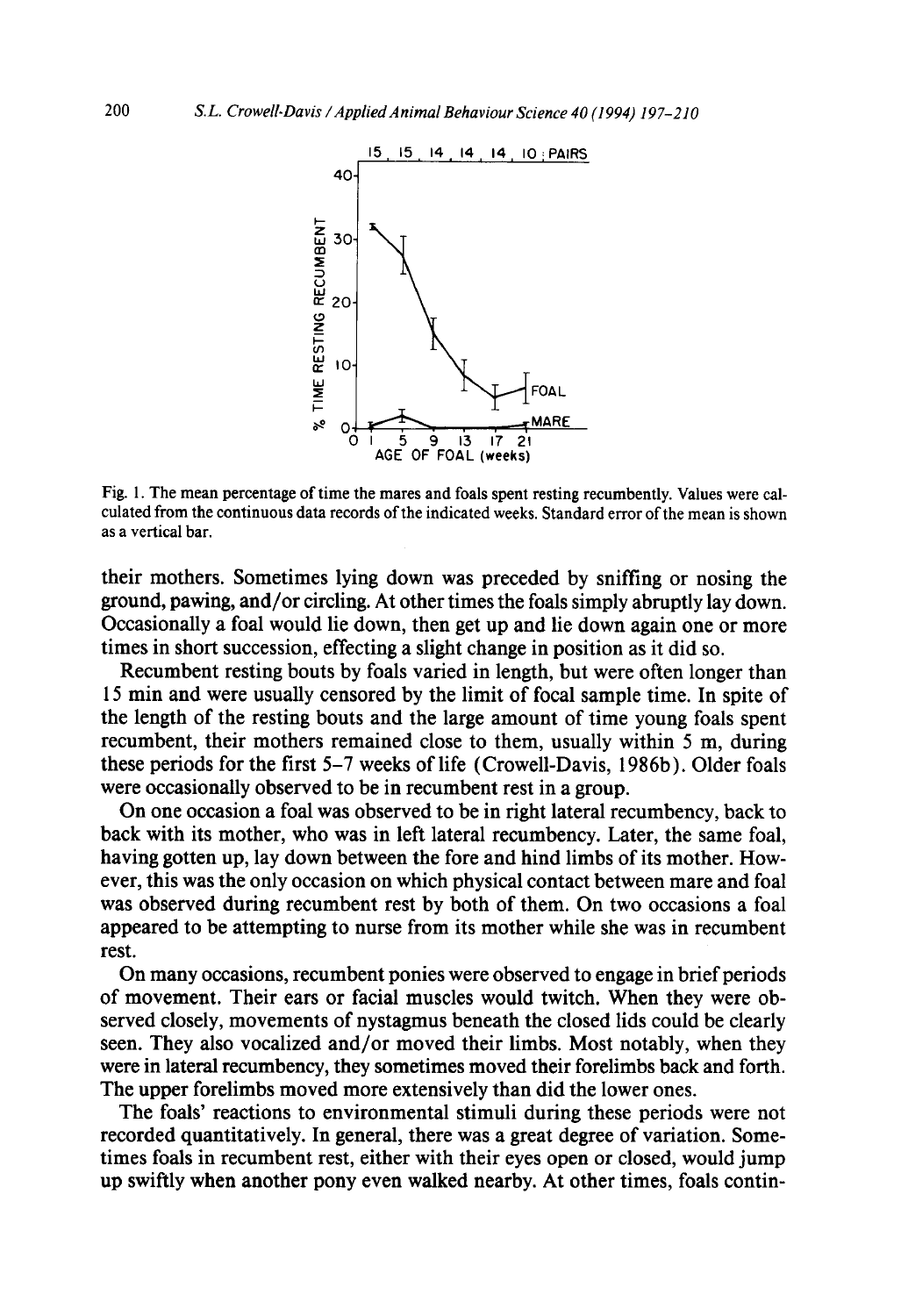

Fig. 1. The mean percentage of time the mares and foals spent resting recumbently. Values were calculated from the continuous data records of the indicated weeks. Standard error of the mean is shown as a vertical bar.

their mothers. Sometimes lying down was preceded by sniffing or nosing the ground, pawing, and/or circling. At other times the foals simply abruptly lay down. Occasionally a foal would lie down, then get up and lie down again one or more times in short succession, effecting a slight change in position as it did so.

Recumbent resting bouts by foals varied in length, but were often longer than 15 min and were usually censored by the limit of focal sample time. In spite of the length of the resting bouts and the large amount of time young foals spent recumbent, their mothers remained close to them, usually within 5 m, during these periods for the first 5-7 weeks of life (Crowell-Davis, 1986b). Older foals were occasionally observed to be in recumbent rest in a group.

On one occasion a foal was observed to be in right lateral recumbency, back to back with its mother, who was in left lateral recumbency. Later, the same foal, having gotten up, lay down between the fore and hind limbs of its mother. However, this was the only occasion on which physical contact between mare and foal was observed during recumbent rest by both of them. On two occasions a foal appeared to be attempting to nurse from its mother while she was in recumbent rest.

On many occasions, recumbent ponies were observed to engage in brief periods of movement. Their ears or facial muscles would twitch. When they were observed closely, movements of nystagmus beneath the closed lids could be clearly seen. They also vocalized and/or moved their limbs. Most notably, when they were in lateral recumbency, they sometimes moved their forelimbs back and forth. The upper forelimbs moved more extensively than did the lower ones.

The foals' reactions to environmental stimuli during these periods were not recorded quantitatively. In general, there was a great degree of variation. Sometimes foals in recumbent rest, either with their eyes open or closed, would jump up swiftly when another pony even walked nearby. At other times, foals contin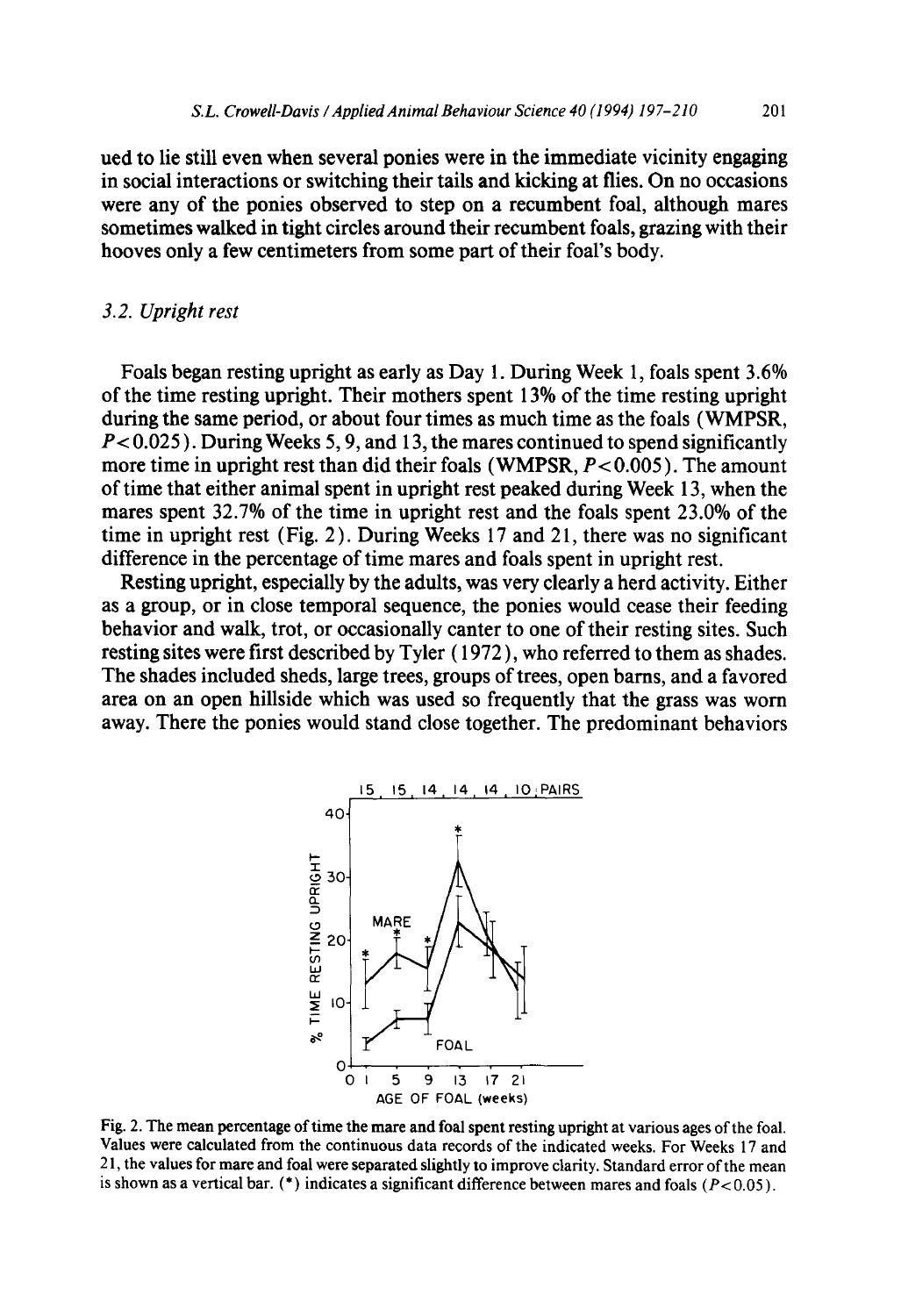**ued to lie still even when several ponies were in the immediate vicinity engaging in social interactions or switching their tails and kicking at flies. On no occasions were any of the ponies observed to step on a recumbent foal, although mares sometimes walked in tight circles around their recumbent foals, grazing with their hooves only a few centimeters from some part of their foal's body.** 

## *3.2. Upright rest*

**Foals began resting upright as early as Day 1. During Week 1, foals spent 3.6% of the time resting upright. Their mothers spent 13% of the time resting upright during the same period, or about four times as much time as the foals (WMPSR, P< 0.025 ). During Weeks 5, 9, and 13, the mares continued to spend significantly more time in upright rest than did their foals (WMPSR, P< 0.005 ). The amount of time that either animal spent in upright rest peaked during Week 13, when the mares spent 32.7% of the time in upright rest and the foals spent 23.0% of the time in upright rest (Fig. 2 ). During Weeks 17 and 2 l, there was no significant difference in the percentage of time mares and foals spent in upright rest.** 

**Resting upright, especially by the adults, was very dearly a herd activity. Either as a group, or in close temporal sequence, the ponies would cease their feeding behavior and walk, trot, or occasionally canter to one of their resting sites. Such resting sites were first described by Tyler ( 1972 ), who referred to them as shades. The shades included sheds, large trees, groups of trees, open barns, and a favored area on an open hillside which was used so frequently that the grass was worn away. There the ponies would stand close together. The predominant behaviors** 



Fig. 2. **The mean percentage of time the mare and foal spent resting upright at various ages of the foal. Values were calculated from the continuous data records of the indicated weeks. For Weeks** 17 **and**  21, **the values for mare and foal were separated slightly to improve clarity. Standard error of the mean**  is shown as a vertical bar. (\*) indicates a significant difference between mares and foals  $(P< 0.05)$ .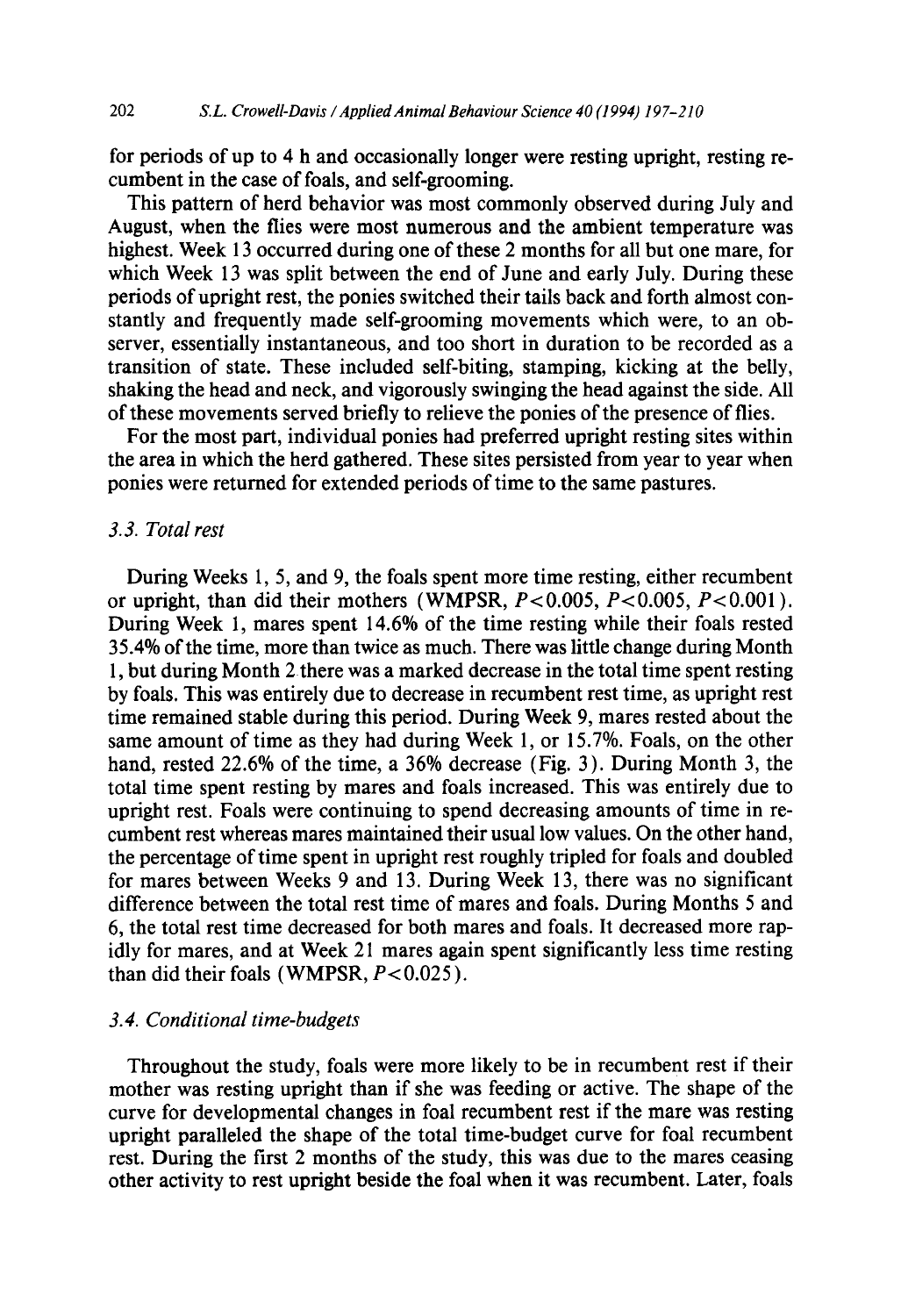for periods of up to 4 h and occasionally longer were resting upright, resting recumbent in the case of foals, and self-grooming.

This pattern of herd behavior was most commonly observed during July and August, when the flies were most numerous and the ambient temperature was highest. Week 13 occurred during one of these 2 months for all but one mare, for which Week 13 was split between the end of June and early July. During these periods of upright rest, the ponies switched their tails back and forth almost constantly and frequently made self-grooming movements which were, to an observer, essentially instantaneous, and too short in duration to be recorded as a transition of state. These included self-biting, stamping, kicking at the belly, shaking the head and neck, and vigorously swinging the head against the side. All of these movements served briefly to relieve the ponies of the presence of flies.

For the most part, individual ponies had preferred upright resting sites within the area in which the herd gathered. These sites persisted from year to year when ponies were returned for extended periods of time to the same pastures.

#### *3.3. Total rest*

During Weeks 1, 5, and 9, the foals spent more time resting, either recumbent or upright, than did their mothers (WMPSR,  $P < 0.005$ ,  $P < 0.005$ ,  $P < 0.001$ ). During Week 1, mares spent 14.6% of the time resting while their foals rested 35.4% of the time, more than twice as much. There was little change during Month 1, but during Month 2 there was a marked decrease in the total time spent resting by foals. This was entirely due to decrease in recumbent rest time, as upright rest time remained stable during this period. During Week 9, mares rested about the same amount of time as they had during Week 1, or 15.7%. Foals, on the other hand, rested 22.6% of the time, a 36% decrease (Fig. 3 ). During Month 3, the total time spent resting by mares and foals increased. This was entirely due to upright rest. Foals were continuing to spend decreasing amounts of time in recumbent rest whereas mares maintained their usual low values. On the other hand, the percentage of time spent in upright rest roughly tripled for foals and doubled for mares between Weeks 9 and 13. During Week 13, there was no significant difference between the total rest time of mares and foals. During Months 5 and 6, the total rest time decreased for both mares and foals. It decreased more rapidly for mares, and at Week 21 mares again spent significantly less time resting than did their foals (WMPSR,  $P < 0.025$ ).

# *3.4. Conditional time-budgets*

Throughout the study, foals were more likely to be in recumbent rest if their mother was resting upright than if she was feeding or active. The shape of the curve for developmental changes in foal recumbent rest if the mare was resting upright paralleled the shape of the total time-budget curve for foal recumbent rest. During the first 2 months of the study, this was due to the mares ceasing other activity to rest upright beside the foal when it was recumbent. Later, foals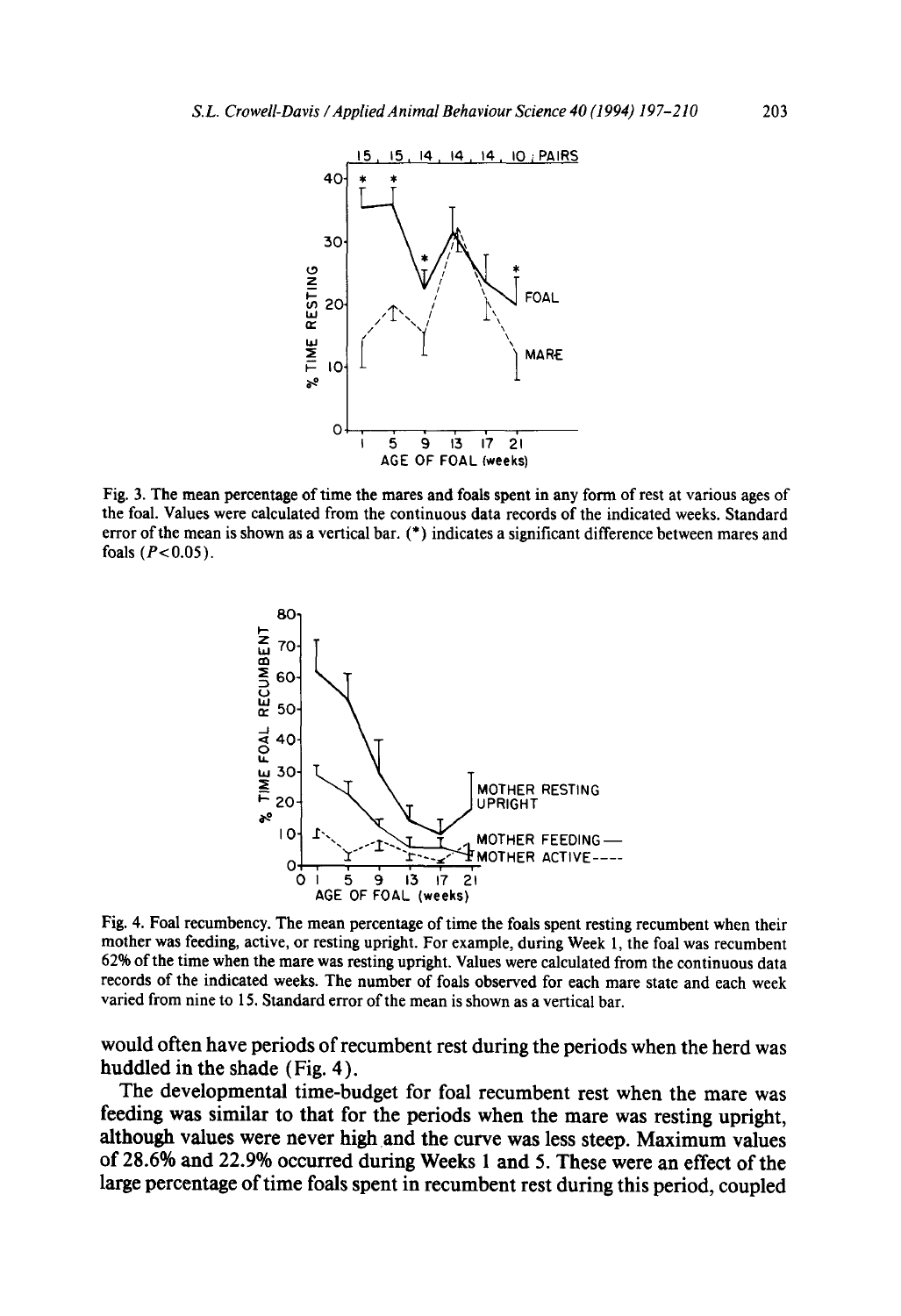

Fig. 3. The mean percentage of time the mares and foals spent in any form of rest at various ages of the foal. Values were calculated from the continuous data records of the indicated weeks. Standard error of the mean is shown as a vertical bar. (\*) indicates a significant difference between mares and foals  $(P<0.05)$ .



Fig. 4. Foal recumbency. The mean percentage of time the foals spent resting recumbent when their mother was feeding, active, or resting upright. For example, during Week l, the foal was recumbent 62% of the time when the mare was resting upright. Values were calculated from the continuous data records of the indicated weeks. The number of foals observed for each mare state and each week varied from nine to 15. Standard error of the mean is shown as a vertical bar.

**would often have periods of recumbent rest during the periods when the herd was huddled in the shade (Fig. 4 ).** 

**The developmental time-budget for foal recumbent rest when the mare was feeding was similar to that for the periods when the mare was resting upright, although values were never high and the curve was less steep. Maximum values of 28.6% and 22.9% occurred during Weeks 1 and 5. These were an effect of the large percentage of time foals spent in recumbent rest during this period, coupled**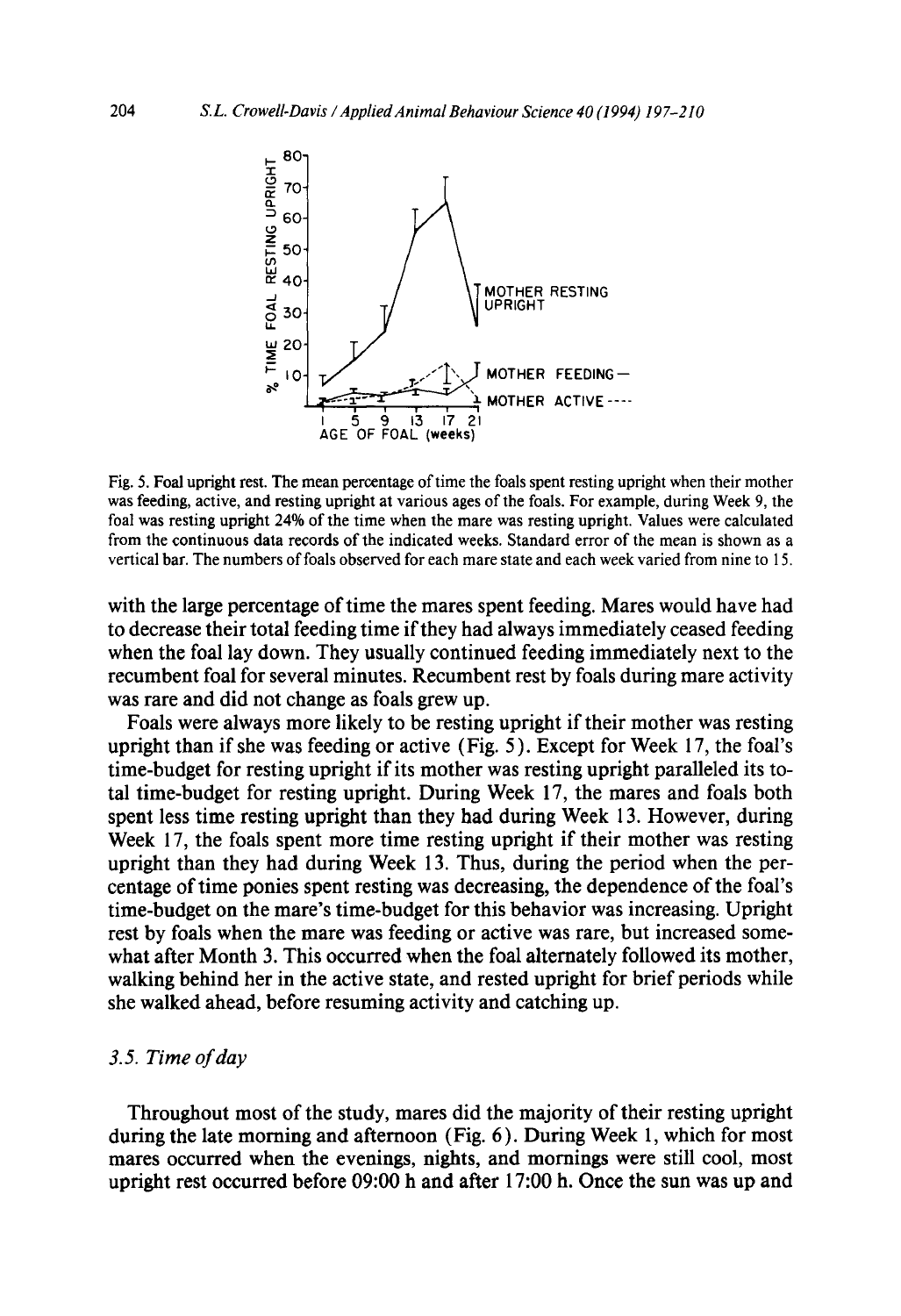

Fig. 5. Foal upright rest. The mean percentage of time the foals spent resting upright when their mother was feeding, active, and resting upright at various ages of the foals. For example, during Week 9, the foal was resting upright 24% of the time when the mare was resting upright. Values were calculated from the continuous data records of the indicated weeks. Standard error of the mean is shown as a vertical bar. The numbers of foals observed for each mare state and each week varied from nine to 15.

with the large percentage of time the mares spent feeding. Mares would have had to decrease their total feeding time if they had always immediately ceased feeding when the foal lay down. They usually continued feeding immediately next to the recumbent foal for several minutes. Recumbent rest by foals during mare activity was rare and did not change as foals grew up.

Foals were always more likely to be resting upright if their mother was resting upright than if she was feeding or active (Fig. 5 ). Except for Week 17, the foal's time-budget for resting upright if its mother was resting upright paralleled its total time-budget for resting upright. During Week 17, the mares and foals both spent less time resting upright than they had during Week 13. However, during Week 17, the foals spent more time resting upright if their mother was resting upright than they had during Week 13. Thus, during the period when the percentage of time ponies spent resting was decreasing, the dependence of the foal's time-budget on the mare's time-budget for this behavior was increasing. Upright rest by foals when the mare was feeding or active was rare, but increased somewhat after Month 3. This occurred when the foal alternately followed its mother, walking behind her in the active state, and rested upright for brief periods while she walked ahead, before resuming activity and catching up.

#### *3.5. Time of day*

Throughout most of the study, mares did the majority of their resting upright during the late morning and afternoon (Fig. 6). During Week 1, which for most mares occurred when the evenings, nights, and mornings were still cool, most upright rest occurred before 09:00 h and after 17:00 h. Once the sun was up and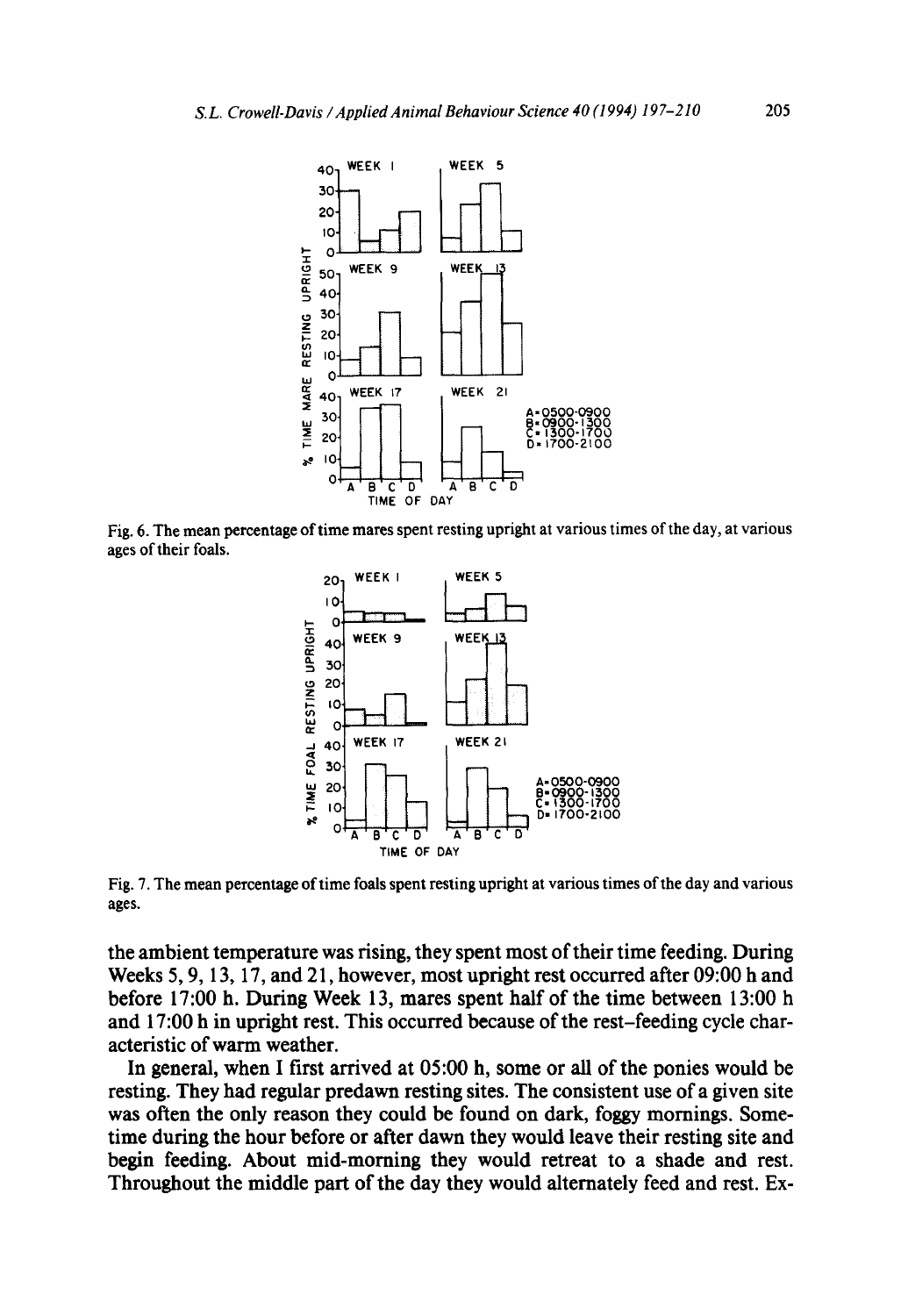

Fig. 6. **The mean percentage of time mares spent resting upright at various times of the day, at various ages of their** foals.



Fig. 7. **The mean percentage of time foals spent resting upright at various times of the day and various ages.** 

**the ambient temperature was firing, they spent most of their time feeding. During Weeks 5, 9, 13, 17, and 2 l, however, most upright rest occurred after 09:00 h and before 17:00 h. During Week 13, mares spent half of the time between 13:00 h and 17:00 h in upright rest. This occurred because of the rest-feeding cycle characteristic of warm weather.** 

**In general, when I first arrived at 05:00 h, some or all of the ponies would be resting. They had regular predawn resting sites. The consistent use of a given site was often the only reason they could be found on dark, foggy mornings. Sometime during the hour before or after dawn they would leave their resting site and begin feeding. About mid-morning they would retreat to a shade and rest. Throughout the middle part of the day they would alternately feed and rest. Ex-**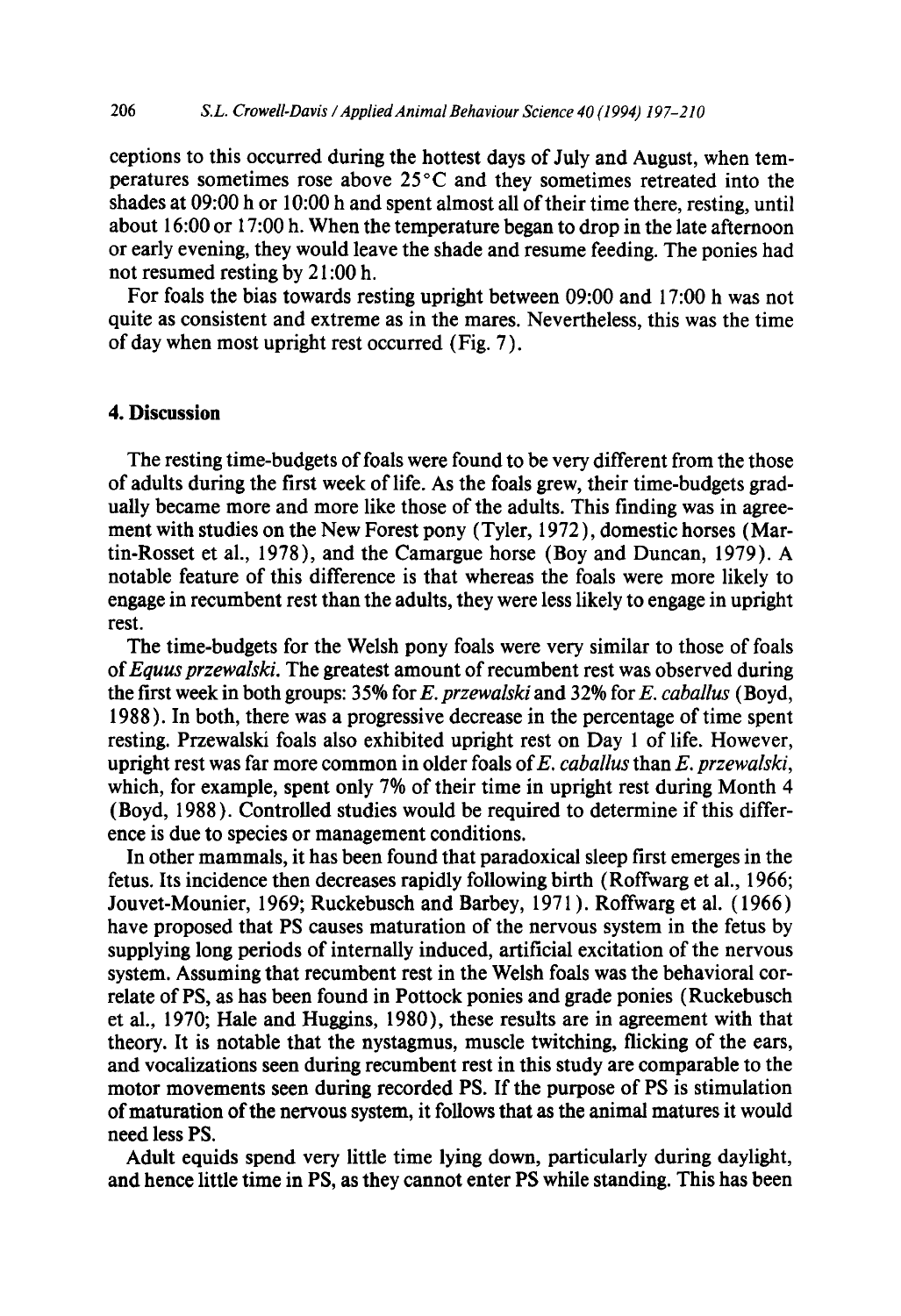ceptions to this occurred during the hottest days of July and August, when temperatures sometimes rose above 25°C and they sometimes retreated into the shades at 09:00 h or 10:00 h and spent almost all of their time there, resting, until about 16:00 or 17:00 h. When the temperature began to drop in the late afternoon or early evening, they would leave the shade and resume feeding. The ponies had not resumed resting by 21:00 h.

For foals the bias towards resting upright between 09:00 and 17:00 h was not quite as consistent and extreme as in the mares. Nevertheless, this was the time of day when most upright rest occurred (Fig. 7).

# **4. Discussion**

The resting time-budgets of foals were found to be very different from the those of adults during the first week of life. As the foals grew, their time-budgets gradually became more and more like those of the adults. This finding was in agreement with studies on the New Forest pony (Tyler, 1972), domestic horses (Martin-Rosset et al., 1978), and the Camargue horse (Boy and Duncan, 1979). A notable feature of this difference is that whereas the foals were more likely to engage in recumbent rest than the adults, they were less likely to engage in upright rest.

The time-budgets for the Welsh pony foals were very similar to those of foals of *Equus przewalski.* The greatest amount of recumbent rest was observed during the first week in both groups: 35% for *E. przewalski* and 32% for *E. caballus* (Boyd, 1988 ). In both, there was a progressive decrease in the percentage of time spent resting. Przewalski foals also exhibited upright rest on Day 1 of life. However, upright rest was far more common in older foals ofE. *caballus* than *E. przewalski,*  which, for example, spent only 7% of their time in upright rest during Month 4 (Boyd, 1988 ). Controlled studies would be required to determine if this difference is due to species or management conditions.

In other mammals, it has been found that paradoxical sleep first emerges in the fetus. Its incidence then decreases rapidly following birth (Roffwarg et al., 1966; Jouvet-Mounier, 1969; Ruckebusch and Barbey, 1971 ). Roffwarg et al. ( 1966 ) have proposed that PS causes maturation of the nervous system in the fetus by supplying long periods of internally induced, artificial excitation of the nervous system. Assuming that recumbent rest in the Welsh foals was the behavioral correlate of PS, as has been found in Pottock ponies and grade ponies (Ruckebusch et al., 1970; Hale and Huggins, 1980), these results are in agreement with that theory. It is notable that the nystagmus, muscle twitching, flicking of the ears, and vocalizations seen during recumbent rest in this study are comparable to the motor movements seen during recorded PS. If the purpose of PS is stimulation of maturation of the nervous system, it follows that as the animal matures it would need less PS.

Adult equids spend very little time lying down, particularly during daylight, and hence little time in PS, as they cannot enter PS while standing. This has been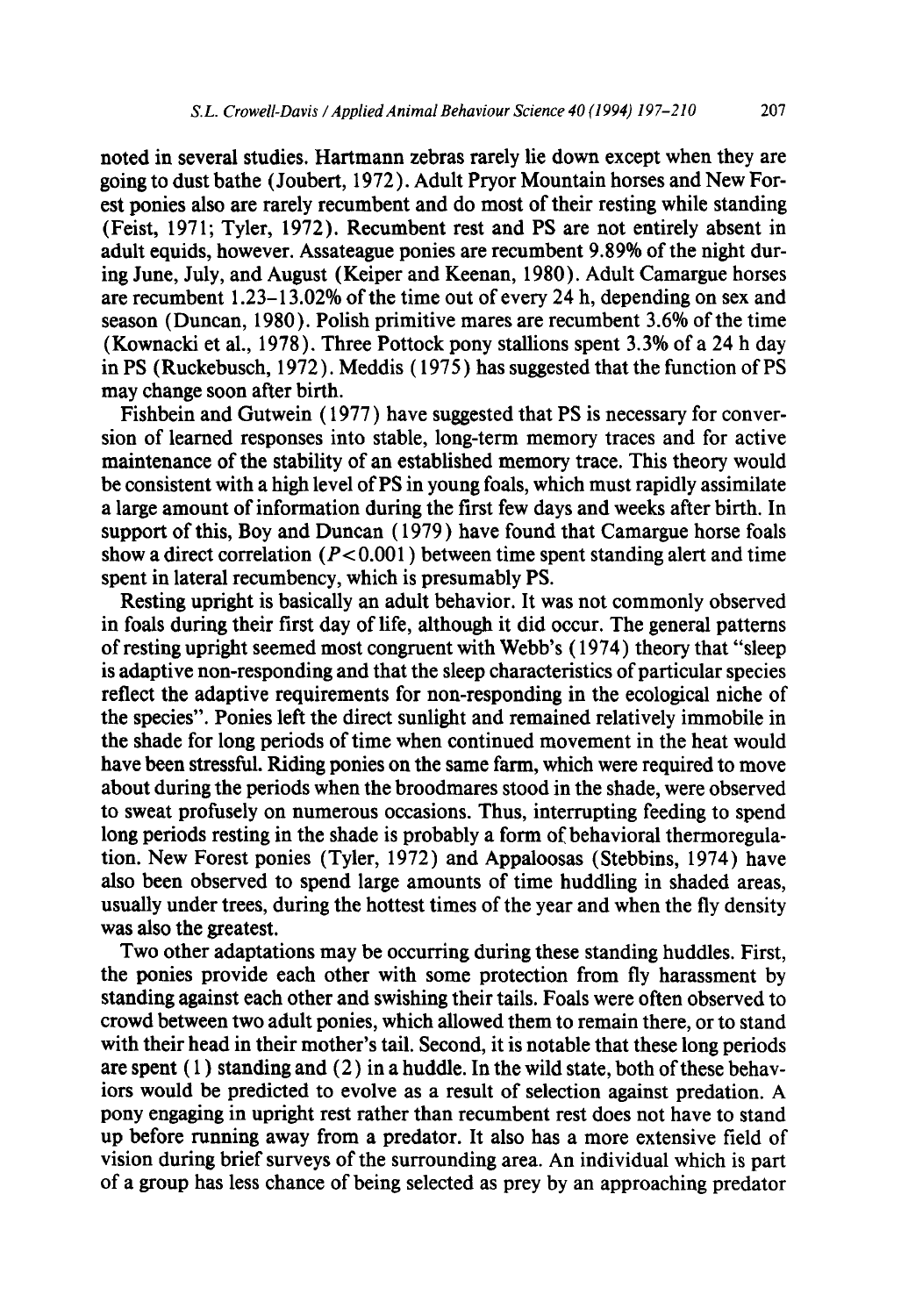noted in several studies. Hartmann zebras rarely lie down except when they are going to dust bathe (Joubert, 1972). Adult Pryor Mountain horses and New Forest ponies also are rarely recumbent and do most of their resting while standing (Feist, 1971; Tyler, 1972). Recumbent rest and PS are not entirely absent in adult equids, however. Assateague ponies are recumbent 9.89% of the night during June, July, and August (Keiper and Keenan, 1980). Adult Camargue horses are recumbent 1.23-13.02% of the time out of every 24 h, depending on sex and season (Duncan, 1980). Polish primitive mares are recumbent 3.6% of the time (Kownacki et al., 1978). Three Pottock pony stallions spent  $3.3\%$  of a 24 h day in PS (Ruckebusch, 1972). Meddis ( 1975 ) has suggested that the function of PS may change soon after birth.

Fishbein and Gutwein (1977) have suggested that PS is necessary for conversion of learned responses into stable, long-term memory traces and for active maintenance of the stability of an established memory trace. This theory would be consistent with a high level of PS in young foals, which must rapidly assimilate a large amount of information during the first few days and weeks after birth. In support of this, Boy and Duncan ( 1979 ) have found that Camargue horse foals show a direct correlation ( $P < 0.001$ ) between time spent standing alert and time spent in lateral recumbency, which is presumably PS.

Resting upright is basically an adult behavior. It was not commonly observed in foals during their first day of life, although it did occur. The general patterns of resting upright seemed most congruent with Webb's (1974) theory that "sleep is adaptive non-responding and that the sleep characteristics of particular species reflect the adaptive requirements for non-responding in the ecological niche of the species". Ponies left the direct sunlight and remained relatively immobile in the shade for long periods of time when continued movement in the heat would have been stressful. Riding ponies on the same farm, which were required to move about during the periods when the broodmares stood in the shade, were observed to sweat profusely on numerous occasions. Thus, interrupting feeding to spend long periods resting in the shade is probably a form of behavioral thermoregulation. New Forest ponies (Tyler, 1972 ) and Appaloosas (Stebbins, 1974) have also been observed to spend large amounts of time huddling in shaded areas, usually under trees, during the hottest times of the year and when the fly density was also the greatest.

Two other adaptations may be occurring during these standing huddles. First, the ponies provide each other with some protection from fly harassment by standing against each other and swishing their tails. Foals were often observed to crowd between two adult ponies, which allowed them to remain there, or to stand with their head in their mother's tail. Second, it is notable that these long periods are spent  $(1)$  standing and  $(2)$  in a huddle. In the wild state, both of these behaviors would be predicted to evolve as a result of selection against predation. A pony engaging in upright rest rather than recumbent rest does not have to stand up before running away from a predator. It also has a more extensive field of vision during brief surveys of the surrounding area. An individual which is part of a group has less chance of being selected as prey by an approaching predator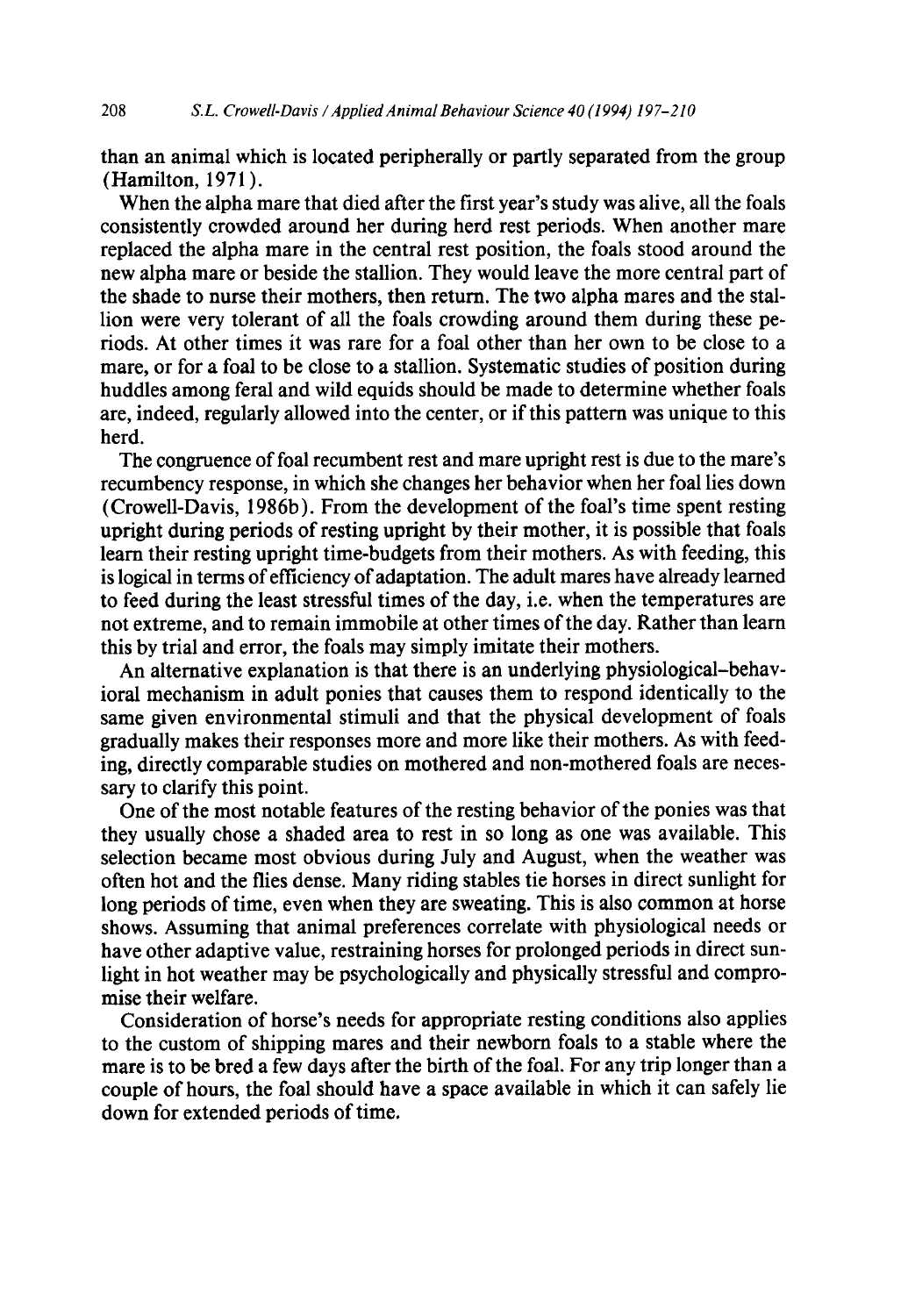than an animal which is located peripherally or partly separated from the group (Hamilton, 1971 ).

When the alpha mare that died after the first year's study was alive, all the foals consistently crowded around her during herd rest periods. When another mare replaced the alpha mare in the central rest position, the foals stood around the new alpha mare or beside the stallion. They would leave the more central part of the shade to nurse their mothers, then return. The two alpha mares and the stallion were very tolerant of all the foals crowding around them during these periods. At other times it was rare for a foal other than her own to be close to a mare, or for a foal to be close to a stallion. Systematic studies of position during huddles among feral and wild equids should be made to determine whether foals are, indeed, regularly allowed into the center, or if this pattern was unique to this herd.

The congruence of foal recumbent rest and mare upright rest is due to the mare's recumbency response, in which she changes her behavior when her foal lies down (Crowell-Davis, 1986b). From the development of the foal's time spent resting upright during periods of resting upright by their mother, it is possible that foals learn their resting upright time-budgets from their mothers. As with feeding, this is logical in terms of efficiency of adaptation. The adult mares have already learned to feed during the least stressful times of the day, i.e. when the temperatures are not extreme, and to remain immobile at other times of the day. Rather than learn this by trial and error, the foals may simply imitate their mothers.

An alternative explanation is that there is an underlying physiological-behavioral mechanism in adult ponies that causes them to respond identically to the same given environmental stimuli and that the physical development of foals gradually makes their responses more and more like their mothers. As with feeding, directly comparable studies on mothered and non-mothered foals are necessary to clarify this point.

One of the most notable features of the resting behavior of the ponies was that they usually chose a shaded area to rest in so long as one was available. This selection became most obvious during July and August, when the weather was often hot and the flies dense. Many riding stables tie horses in direct sunlight for long periods of time, even when they are sweating. This is also common at horse shows. Assuming that animal preferences correlate with physiological needs or have other adaptive value, restraining horses for prolonged periods in direct sunlight in hot weather may be psychologically and physically stressful and compromise their welfare.

Consideration of horse's needs for appropriate resting conditions also applies to the custom of shipping mares and their newborn foals to a stable where the mare is to be bred a few days after the birth of the foal. For any trip longer than a couple of hours, the foal should have a space available in which it can safely lie down for extended periods of time.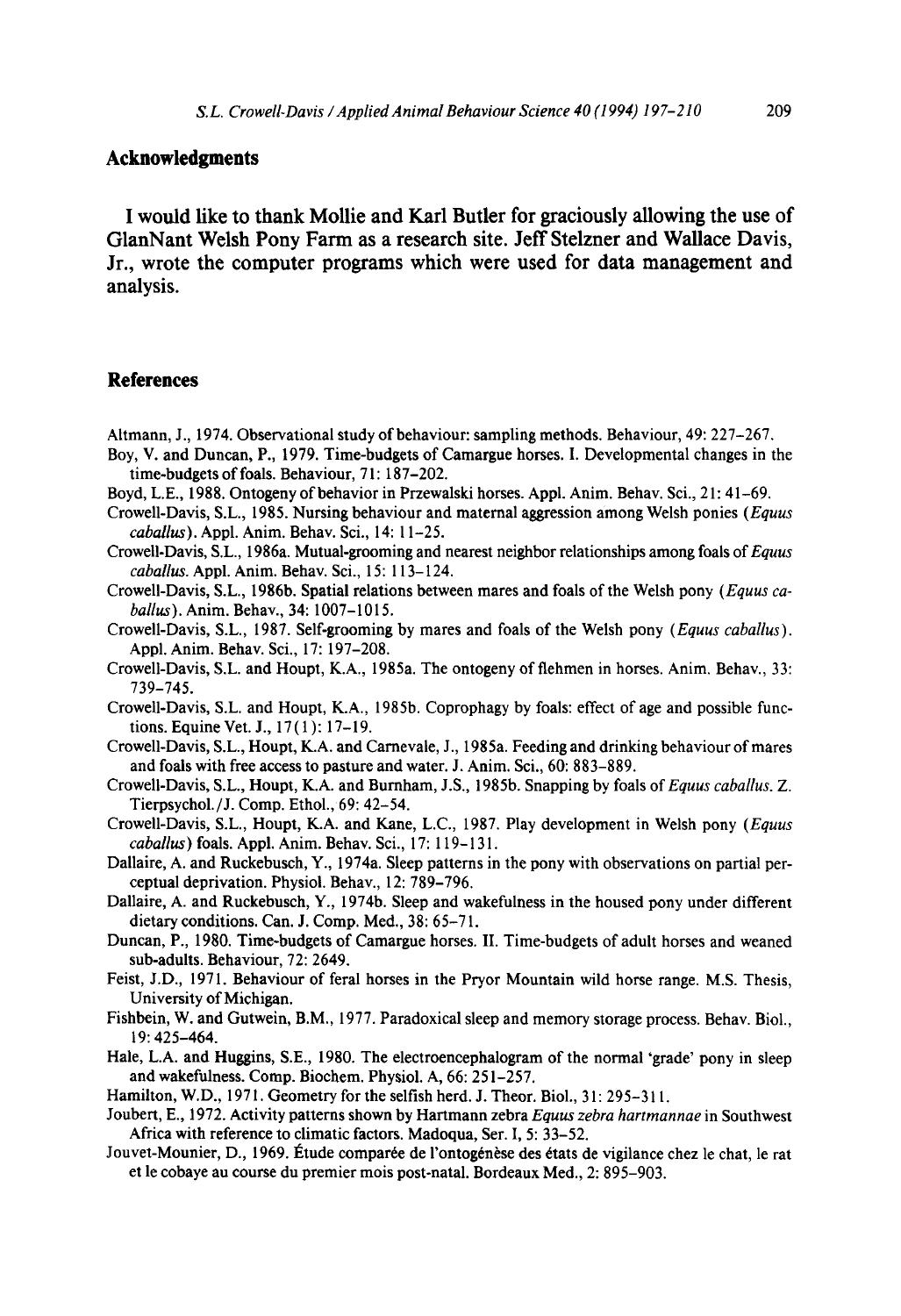#### **Acknowledgments**

**I would like to thank Mollie and Karl Butler for graciously allowing the use of GlanNant Welsh Pony Farm as a research site. Jeff Stelzner and Wallace Davis, Jr., wrote the computer programs which were used for data management and analysis.** 

#### **References**

- Altmann, J., 1974. Observational study of behaviour: sampling methods. Behaviour, 49: 227-267.
- Boy, V. and Duncan, P., 1979. Time-budgets of Camargue horses. I. Developmental changes in the time-budgets of foals. Behaviour, 71: 187-202.
- Boyd, L.E., 1988. Ontogeny of behavior in Przewalski horses. Appl. Anim. Behav. Sci., 21:41-69.
- Crowell-Davis, S.L., 1985. Nursing behaviour and maternal aggression among Welsh ponies *(Equus caballus).* Appl. Anim. Behav. Sci., 14:11-25.
- Crowell-Davis, S.L., 1986a. Mutual-grooming and nearest neighbor relationships among foals *of Equus caballus.* Appl. Anim. Behav. Sci., 15: 113-124.
- Crowell-Davis, S.L., 1986b. Spatial relations between mares and foals of the Welsh pony *(Equus caballus).* Anim. Behav., 34:1007-1015.
- Crowell-Davis, S.L., 1987. Self-grooming by mares and foals of the Welsh pony *(Equus caballus).*  Appl. Anim. Behav. Sci., 17: 197-208.
- Crowell-Davis, S.L. and Houpt, K.A., 1985a. The ontogeny of flehmen in horses. Anim. Behav., 33: 739-745.
- Crowell-Davis, S.L. and Houpt, K.A., 1985b. Coprophagy by foals: effect of age and possible functions. Equine Vet. J., 17(1): 17-19.
- Crowell-Davis, S.L., Houpt, K.A. and Carnevale, J., 1985a. Feeding and drinking behaviour of mares and foals with free access to pasture and water. J. Anim. Sci., 60: 883-889.
- Crowell-Davis, S.L., Houpt, K.A. and Burnham, J.S., 1985b. Snapping by foals of *Equus caballus.* Z. Tierpsychol./J. Comp. Ethol., 69: 42-54.
- Crowell-Davis, S.L., Houpt, K.A. and Kane, L.C., 1987. Play development in Welsh pony *(Equus caballus)* foals. Appl. Anim. Behav. Sci., 17:119-131.
- Dallaire, A. and Ruckebusch, Y., 1974a. Sleep patterns in the pony with observations on partial perceptual deprivation. Physiol. Behav., 12: 789-796.
- Dallaire, A. and Ruckebusch, Y., 1974b. Sleep and wakefulness in the housed pony under different dietary conditions. Can. J. Comp. Med., 38:65-71.
- Duncan, P., 1980. Time-budgets of Camargue horses. II. Time-budgets of adult horses and weaned sub-adults. Behaviour, 72: 2649.
- Feist, J.D., 1971. Behaviour of feral horses in the Pryor Mountain wild horse range. M.S. Thesis, University of Michigan.
- Fishbein, W. and Gutwein, B.M., 1977. Paradoxical sleep and memory storage process. Behav. Biol., 19: 425-464.
- Hale, L.A. and Huggins, S.E., 1980. The electroencephalogram of the normal 'grade' pony in sleep and wakefulness. Comp. Biochem. Physiol. A, 66:251-257.
- Hamilton, W.D., 1971. Geometry for the selfish herd. J. Theor. Biol., 31: 295-311.
- Joubert, E., 1972. Activity patterns shown by Hartmann zebra *Equus zebra hartmannae* in Southwest Africa with reference to climatic factors. Madoqua, Ser. I, 5: 33-52.
- Jouvet-Mounier, D., 1969. Étude comparée de l'ontogénèse des états de vigilance chez le chat, le rat et le cobaye au course du premier mois post-natal. Bordeaux Med., 2: 895-903.